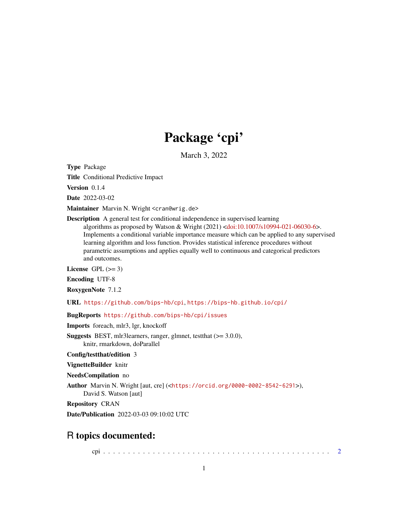## Package 'cpi'

March 3, 2022

<span id="page-0-0"></span>Type Package

Title Conditional Predictive Impact

Version 0.1.4

Date 2022-03-02

Maintainer Marvin N. Wright <cran@wrig.de>

Description A general test for conditional independence in supervised learning

algorithms as proposed by Watson & Wright (2021) [<doi:10.1007/s10994-021-06030-6>](https://doi.org/10.1007/s10994-021-06030-6). Implements a conditional variable importance measure which can be applied to any supervised learning algorithm and loss function. Provides statistical inference procedures without parametric assumptions and applies equally well to continuous and categorical predictors and outcomes.

License GPL  $(>= 3)$ 

Encoding UTF-8

RoxygenNote 7.1.2

URL <https://github.com/bips-hb/cpi>, <https://bips-hb.github.io/cpi/>

BugReports <https://github.com/bips-hb/cpi/issues>

Imports foreach, mlr3, lgr, knockoff

Suggests BEST, mlr3learners, ranger, glmnet, testthat (>= 3.0.0), knitr, rmarkdown, doParallel

Config/testthat/edition 3

VignetteBuilder knitr

NeedsCompilation no

Author Marvin N. Wright [aut, cre] (<<https://orcid.org/0000-0002-8542-6291>>), David S. Watson [aut]

Repository CRAN

Date/Publication 2022-03-03 09:10:02 UTC

### R topics documented:

cpi . . . . . . . . . . . . . . . . . . . . . . . . . . . . . . . . . . . . . . . . . . . . . . [2](#page-1-0)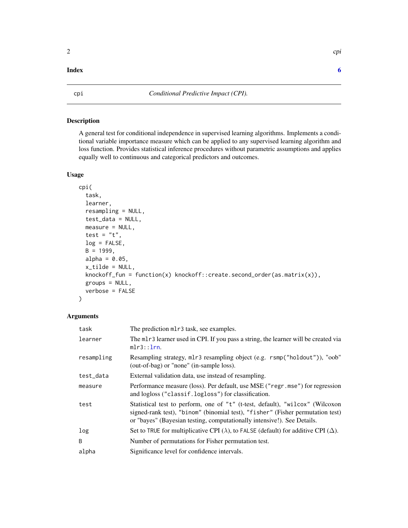#### Description

A general test for conditional independence in supervised learning algorithms. Implements a conditional variable importance measure which can be applied to any supervised learning algorithm and loss function. Provides statistical inference procedures without parametric assumptions and applies equally well to continuous and categorical predictors and outcomes.

#### Usage

```
cpi(
  task,
  learner,
  resampling = NULL,
  test_data = NULL,
  measure = NULL,
  test = "t",log = FALSE,
  B = 1999,alpha = 0.05,
  x_tilde = NULL,
  knockoff_fun = function(x) knockoff::create.second_order(as.matrix(x)),
  groups = NULL,verbose = FALSE
)
```
#### Arguments

| task       | The prediction ml r 3 task, see examples.                                                                                                                                                                                                  |
|------------|--------------------------------------------------------------------------------------------------------------------------------------------------------------------------------------------------------------------------------------------|
| learner    | The mlr3 learner used in CPI. If you pass a string, the learner will be created via<br>mlr3::lrn.                                                                                                                                          |
| resampling | Resampling strategy, mlr3 resampling object (e.g. rsmp("holdout")), "oob"<br>(out-of-bag) or "none" (in-sample loss).                                                                                                                      |
| test_data  | External validation data, use instead of resampling.                                                                                                                                                                                       |
| measure    | Performance measure (loss). Per default, use MSE ("regr. mse") for regression<br>and logloss ("classif.logloss") for classification.                                                                                                       |
| test       | Statistical test to perform, one of "t" (t-test, default), "wilcox" (Wilcoxon<br>signed-rank test), "binom" (binomial test), "fisher" (Fisher permutation test)<br>or "bayes" (Bayesian testing, computationally intensive!). See Details. |
| log        | Set to TRUE for multiplicative CPI ( $\lambda$ ), to FALSE (default) for additive CPI ( $\Delta$ ).                                                                                                                                        |
| B          | Number of permutations for Fisher permutation test.                                                                                                                                                                                        |
| alpha      | Significance level for confidence intervals.                                                                                                                                                                                               |

#### <span id="page-1-0"></span>**Index** [6](#page-5-0) **6**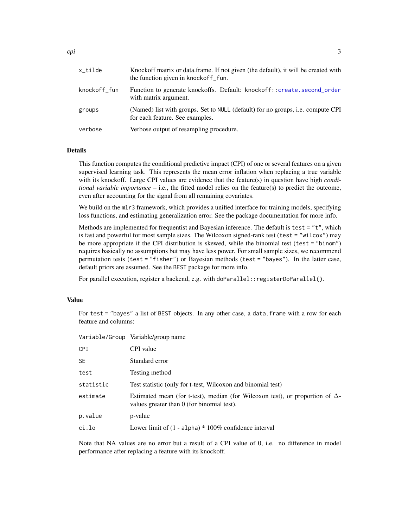<span id="page-2-0"></span>

| x_tilde      | Knockoff matrix or data.frame. If not given (the default), it will be created with<br>the function given in knockoff f |
|--------------|------------------------------------------------------------------------------------------------------------------------|
| knockoff_fun | Function to generate knockoffs. Default: knockoff::create.second_order<br>with matrix argument.                        |
| groups       | (Named) list with groups. Set to NULL (default) for no groups, i.e. compute CPI<br>for each feature. See examples.     |
| verbose      | Verbose output of resampling procedure.                                                                                |

#### Details

This function computes the conditional predictive impact (CPI) of one or several features on a given supervised learning task. This represents the mean error inflation when replacing a true variable with its knockoff. Large CPI values are evidence that the feature(s) in question have high *conditional variable importance*  $-$  *i.e.*, the fitted model relies on the feature(s) to predict the outcome, even after accounting for the signal from all remaining covariates.

We build on the ml r3 framework, which provides a unified interface for training models, specifying loss functions, and estimating generalization error. See the package documentation for more info.

Methods are implemented for frequentist and Bayesian inference. The default is test = "t", which is fast and powerful for most sample sizes. The Wilcoxon signed-rank test (test = "wilcox") may be more appropriate if the CPI distribution is skewed, while the binomial test (test = "binom") requires basically no assumptions but may have less power. For small sample sizes, we recommend permutation tests (test = "fisher") or Bayesian methods (test = "bayes"). In the latter case, default priors are assumed. See the BEST package for more info.

For parallel execution, register a backend, e.g. with doParallel::registerDoParallel().

#### Value

For test = "bayes" a list of BEST objects. In any other case, a data.frame with a row for each feature and columns:

|           | Variable/Group Variable/group name                                                                                                 |
|-----------|------------------------------------------------------------------------------------------------------------------------------------|
| CPI       | CPI value                                                                                                                          |
| <b>SE</b> | Standard error                                                                                                                     |
| test      | Testing method                                                                                                                     |
| statistic | Test statistic (only for t-test, Wilcoxon and binomial test)                                                                       |
| estimate  | Estimated mean (for t-test), median (for Wilcoxon test), or proportion of $\Delta$ -<br>values greater than 0 (for binomial test). |
| p.value   | p-value                                                                                                                            |
| ci.lo     | Lower limit of $(1 - \alpha) * 100\%$ confidence interval                                                                          |

Note that NA values are no error but a result of a CPI value of 0, i.e. no difference in model performance after replacing a feature with its knockoff.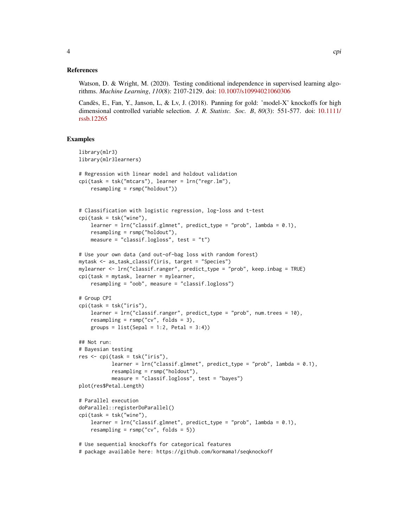#### References

Watson, D. & Wright, M. (2020). Testing conditional independence in supervised learning algorithms. *Machine Learning*, *110*(8): 2107-2129. doi: [10.1007/s10994021060306](https://doi.org/10.1007/s10994-021-06030-6)

Candès, E., Fan, Y., Janson, L, & Lv, J. (2018). Panning for gold: 'model-X' knockoffs for high dimensional controlled variable selection. *J. R. Statistc. Soc. B*, *80*(3): 551-577. doi: [10.1111/](https://doi.org/10.1111/rssb.12265) [rssb.12265](https://doi.org/10.1111/rssb.12265)

#### Examples

```
library(mlr3)
library(mlr3learners)
# Regression with linear model and holdout validation
cpi(task = tsk("mtcars"), learner = lrn("regr.lm"),
    resampling = rsmp("holdout"))
# Classification with logistic regression, log-loss and t-test
cpi(task = tsk("wine"),
    learner = lrn("classif.glmnet", predict_type = "prob", lambda = 0.1),
   resampling = rsmp("holdout"),
   measure = "classif.logloss", test = "t")
# Use your own data (and out-of-bag loss with random forest)
mytask <- as_task_classif(iris, target = "Species")
mylearner <- lrn("classif.ranger", predict_type = "prob", keep.inbag = TRUE)
cpi(task = mytask, learner = mylearner,
    resampling = "oob", measure = "classif.logloss")
# Group CPI
cpi(task = tsk("iris"),
    learner = lrn("classif.ranger", predict_type = "prob", num.trees = 10),
    resampling = rsmp("cv", folds = 3),groups = list(Sepal = 1:2, Petal = 3:4)## Not run:
# Bayesian testing
res \le cpi(task = tsk("iris"),
           learner = lrn("classif.glmnet", predict_type = "prob", lambda = 0.1),resampling = rsmp("holdout"),
          measure = "classif.logloss", test = "bayes")
plot(res$Petal.Length)
# Parallel execution
doParallel::registerDoParallel()
cpi(task = tsk("wine"),
    learner = lrn("classif.glmnet", predict_type = "prob", lambda = 0.1),
    resampling = rsmp("cv", folds = 5))# Use sequential knockoffs for categorical features
```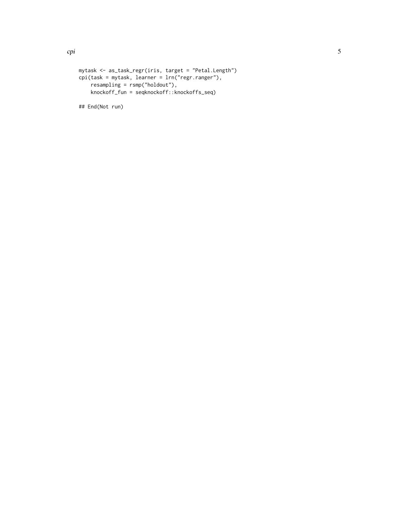```
mytask <- as_task_regr(iris, target = "Petal.Length")
```

```
cpi(task = mytask, learner = lrn("regr.ranger"),
    resampling = rsmp("holdout"),
    knockoff_fun = seqknockoff::knockoffs_seq)
```
## End(Not run)